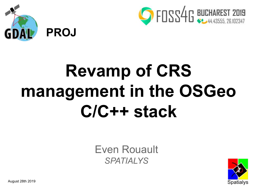



# **Revamp of CRS management in the OSGeo C/C++ stack**

Even Rouault *SPATIALYS*



August 28th 2019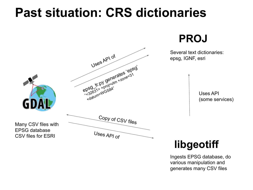## **Past situation: CRS dictionaries**



### **libgeotiff**

Ingests EPSG database, do various manipulation and generates many CSV files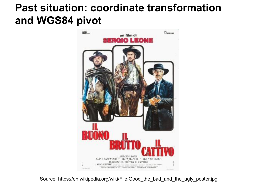

Source: https://en.wikipedia.org/wiki/File:Good\_the\_bad\_and\_the\_ugly\_poster.jpg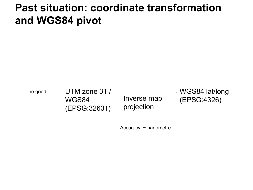The good

UTM zone 31 / WGS84 (EPSG:32631)

# projection

WGS84 lat/long (EPSG:4326) Inverse map

Accuracy: ~ nanometre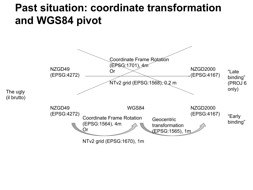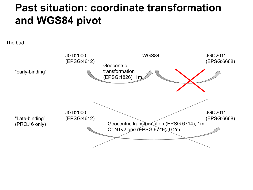The bad

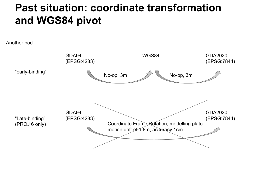Another bad

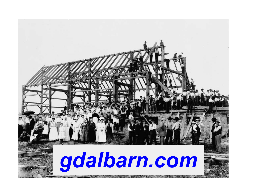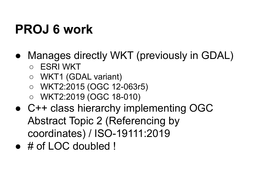## **PROJ 6 work**

- Manages directly WKT (previously in GDAL)
	- ESRI WKT
	- WKT1 (GDAL variant)
	- WKT2:2015 (OGC 12-063r5)
	- WKT2:2019 (OGC 18-010)
- C++ class hierarchy implementing OGC Abstract Topic 2 (Referencing by coordinates) / ISO-19111:2019
- # of LOC doubled !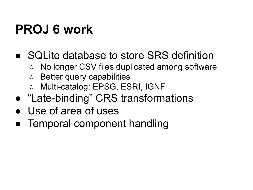## **PROJ 6 work**

- SQLite database to store SRS definition
	- No longer CSV files duplicated among software
	- Better query capabilities
	- Multi-catalog: EPSG, ESRI, IGNF
- "Late-binding" CRS transformations
- Use of area of uses
- Temporal component handling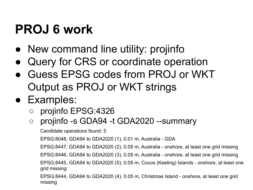## **PROJ 6 work**

- New command line utility: projinfo
- Query for CRS or coordinate operation
- Guess EPSG codes from PROJ or WKT Output as PROJ or WKT strings
- Examples:
	- projinfo EPSG:4326
	- projinfo -s GDA94 -t GDA2020 --summary

Candidate operations found: 5

EPSG:8048, GDA94 to GDA2020 (1), 0.01 m, Australia - GDA

EPSG:8447, GDA94 to GDA2020 (2), 0.05 m, Australia - onshore, at least one grid missing

EPSG:8446, GDA94 to GDA2020 (3), 0.05 m, Australia - onshore, at least one grid missing

EPSG:8445, GDA94 to GDA2020 (5), 0.05 m, Cocos (Keeling) Islands - onshore, at least one grid missing

EPSG:8444, GDA94 to GDA2020 (4), 0.05 m, Christmas Island - onshore, at least one grid missing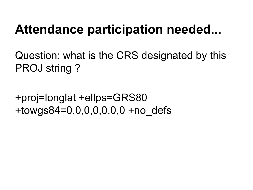### **Attendance participation needed...**

Question: what is the CRS designated by this PROJ string ?

+proj=longlat +ellps=GRS80  $+$ towgs84=0,0,0,0,0,0,0 +no defs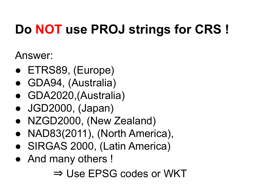# **Do NOT use PROJ strings for CRS !**

Answer:

- ETRS89, (Europe)
- GDA94, (Australia)
- GDA2020,(Australia)
- JGD2000, (Japan)
- NZGD2000, (New Zealand)
- NAD83(2011), (North America),
- SIRGAS 2000, (Latin America)
- And many others !

⇒ Use EPSG codes or WKT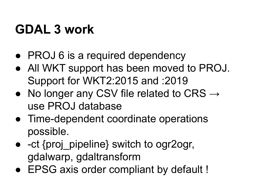# **GDAL 3 work**

- PROJ 6 is a required dependency
- All WKT support has been moved to PROJ. Support for WKT2:2015 and :2019
- No longer any CSV file related to CRS  $\rightarrow$ use PROJ database
- Time-dependent coordinate operations possible.
- $\bullet$  -ct {proj pipeline} switch to ogr2ogr, gdalwarp, gdaltransform
- EPSG axis order compliant by default !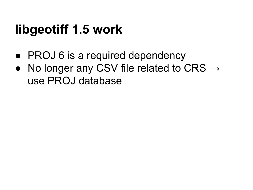## **libgeotiff 1.5 work**

- PROJ 6 is a required dependency
- No longer any CSV file related to CRS  $\rightarrow$ use PROJ database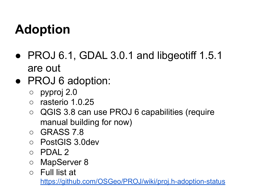# **Adoption**

- PROJ 6.1, GDAL 3.0.1 and libgeotiff 1.5.1 are out
- PROJ 6 adoption:
	- pyproj 2.0
	- rasterio 1.0.25
	- QGIS 3.8 can use PROJ 6 capabilities (require manual building for now)
	- GRASS 7.8
	- PostGIS 3.0dev
	- PDAL 2
	- MapServer 8
	- Full list at

<https://github.com/OSGeo/PROJ/wiki/proj.h-adoption-status>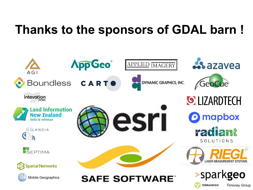## **Thanks to the sponsors of GDAL barn !**